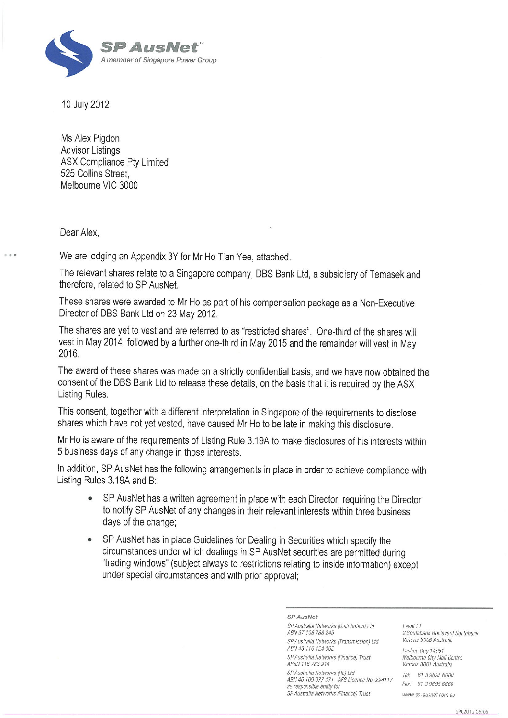

10 July 2012

Ms Alex Pigdon **Advisor Listings ASX Compliance Pty Limited** 525 Collins Street. Melbourne VIC 3000

Dear Alex.

We are lodging an Appendix 3Y for Mr Ho Tian Yee, attached.

The relevant shares relate to a Singapore company, DBS Bank Ltd, a subsidiary of Temasek and therefore, related to SP AusNet.

These shares were awarded to Mr Ho as part of his compensation package as a Non-Executive Director of DBS Bank Ltd on 23 May 2012.

The shares are yet to vest and are referred to as "restricted shares". One-third of the shares will vest in May 2014, followed by a further one-third in May 2015 and the remainder will vest in May 2016.

The award of these shares was made on a strictly confidential basis, and we have now obtained the consent of the DBS Bank Ltd to release these details, on the basis that it is required by the ASX Listing Rules.

This consent, together with a different interpretation in Singapore of the requirements to disclose shares which have not yet vested, have caused Mr Ho to be late in making this disclosure.

Mr Ho is aware of the requirements of Listing Rule 3.19A to make disclosures of his interests within 5 business days of any change in those interests.

In addition, SP AusNet has the following arrangements in place in order to achieve compliance with Listing Rules 3.19A and B:

- SP AusNet has a written agreement in place with each Director, requiring the Director to notify SP AusNet of any changes in their relevant interests within three business days of the change;
- SP AusNet has in place Guidelines for Dealing in Securities which specify the circumstances under which dealings in SP AusNet securities are permitted during "trading windows" (subject always to restrictions relating to inside information) except under special circumstances and with prior approval;

SP AusNet

SP Australia Networks (Distribution) Ltd ABN 37 108 788 245 SP Australia Networks (Transmission) Ltd ABN 48 116 124 362 SP Australia Networks (Finance) Trust ARSN 116 783 914 SP Australia Networks (RE) Ltd ABN 46 109 977 371 AFS Licence No. 294117 as responsible entity for SP Australia Networks (Finance) Trust

Level 31 2 Southbank Boulevard Southbank Victoria 3006 Australia

Locked Bag 14051 Melbourne City Mail Centre Victoria 8001 Australia Tel: 61 3 9695 6000 Fax: 61 3 9695 6666

www.sp-ausnet.com.au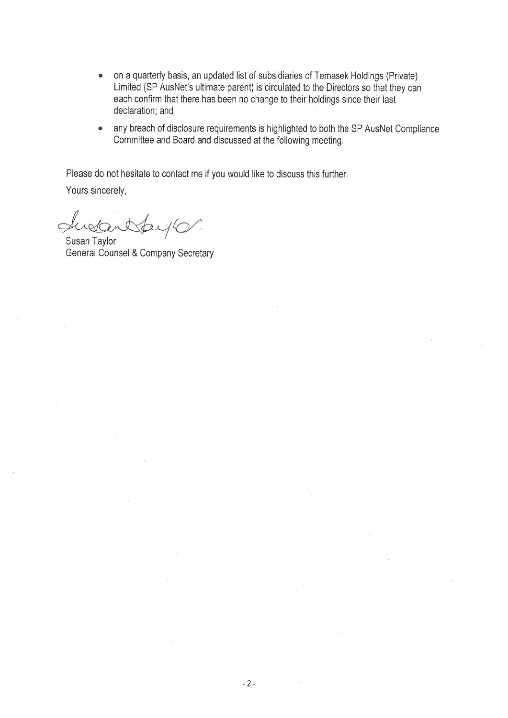- on a quarterly basis, an updated list of subsidiaries of Temasek Holdings (Private)  $\bullet$ Limited (SP AusNet's ultimate parent) is circulated to the Directors so that they can each confirm that there has been no change to their holdings since their last declaration; and
- any breach of disclosure requirements is highlighted to both the SP AusNet Compliance  $\bullet$ Committee and Board and discussed at the following meeting.

Please do not hesitate to contact me if you would like to discuss this further.

Yours sincerely,

retant

Susan Taylor General Counsel & Company Secretary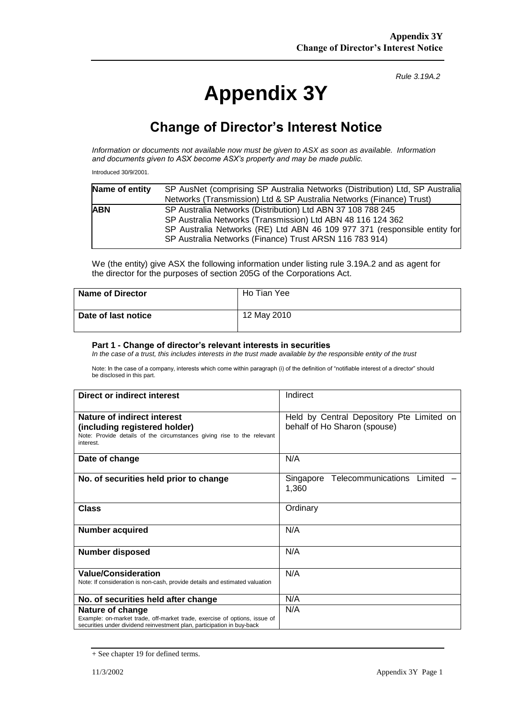## **Appendix 3Y**

*Rule 3.19A.2*

## **Change of Director's Interest Notice**

*Information or documents not available now must be given to ASX as soon as available. Information and documents given to ASX become ASX's property and may be made public.*

Introduced 30/9/2001.

| Name of entity | SP AusNet (comprising SP Australia Networks (Distribution) Ltd, SP Australia |
|----------------|------------------------------------------------------------------------------|
|                | Networks (Transmission) Ltd & SP Australia Networks (Finance) Trust)         |
| <b>ABN</b>     | SP Australia Networks (Distribution) Ltd ABN 37 108 788 245                  |
|                | SP Australia Networks (Transmission) Ltd ABN 48 116 124 362                  |
|                | SP Australia Networks (RE) Ltd ABN 46 109 977 371 (responsible entity for    |
|                | SP Australia Networks (Finance) Trust ARSN 116 783 914)                      |
|                |                                                                              |

We (the entity) give ASX the following information under listing rule 3.19A.2 and as agent for the director for the purposes of section 205G of the Corporations Act.

| <b>Name of Director</b> | Ho Tian Yee |
|-------------------------|-------------|
| Date of last notice     | 12 May 2010 |

## **Part 1 - Change of director's relevant interests in securities**

*In the case of a trust, this includes interests in the trust made available by the responsible entity of the trust*

Note: In the case of a company, interests which come within paragraph (i) of the definition of "notifiable interest of a director" should be disclosed in this part.

| Direct or indirect interest                                                                                                                                             | Indirect                                                                  |
|-------------------------------------------------------------------------------------------------------------------------------------------------------------------------|---------------------------------------------------------------------------|
| Nature of indirect interest<br>(including registered holder)<br>Note: Provide details of the circumstances giving rise to the relevant<br>interest.                     | Held by Central Depository Pte Limited on<br>behalf of Ho Sharon (spouse) |
| Date of change                                                                                                                                                          | N/A                                                                       |
| No. of securities held prior to change                                                                                                                                  | Telecommunications<br>Limited<br>Singapore<br>1,360                       |
| <b>Class</b>                                                                                                                                                            | Ordinary                                                                  |
| <b>Number acquired</b>                                                                                                                                                  | N/A                                                                       |
| <b>Number disposed</b>                                                                                                                                                  | N/A                                                                       |
| <b>Value/Consideration</b><br>Note: If consideration is non-cash, provide details and estimated valuation                                                               | N/A                                                                       |
| No. of securities held after change                                                                                                                                     | N/A                                                                       |
| Nature of change<br>Example: on-market trade, off-market trade, exercise of options, issue of<br>securities under dividend reinvestment plan, participation in buy-back | N/A                                                                       |

<sup>+</sup> See chapter 19 for defined terms.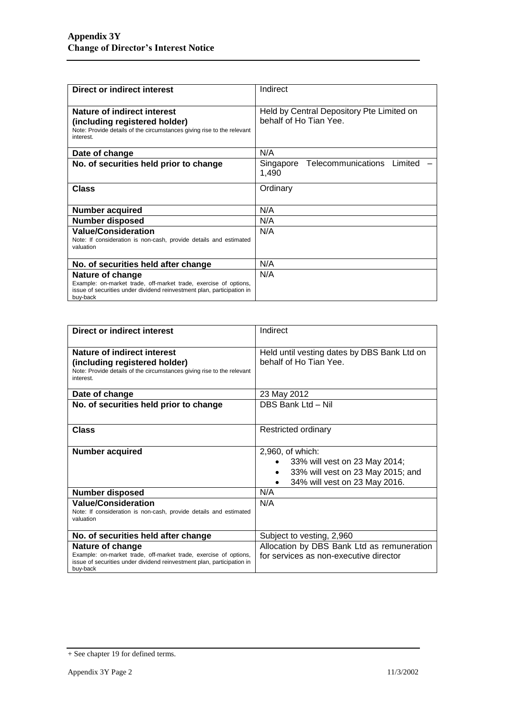| Direct or indirect interest                                                                                                                                                | Indirect                                                            |
|----------------------------------------------------------------------------------------------------------------------------------------------------------------------------|---------------------------------------------------------------------|
| Nature of indirect interest<br>(including registered holder)<br>Note: Provide details of the circumstances giving rise to the relevant<br>interest.                        | Held by Central Depository Pte Limited on<br>behalf of Ho Tian Yee. |
| Date of change                                                                                                                                                             | N/A                                                                 |
| No. of securities held prior to change                                                                                                                                     | Telecommunications Limited<br>Singapore<br>1,490                    |
| Class                                                                                                                                                                      | Ordinary                                                            |
| <b>Number acquired</b>                                                                                                                                                     | N/A                                                                 |
| <b>Number disposed</b>                                                                                                                                                     | N/A                                                                 |
| <b>Value/Consideration</b><br>Note: If consideration is non-cash, provide details and estimated<br>valuation                                                               | N/A                                                                 |
| No. of securities held after change                                                                                                                                        | N/A                                                                 |
| Nature of change<br>Example: on-market trade, off-market trade, exercise of options,<br>issue of securities under dividend reinvestment plan, participation in<br>buy-back | N/A                                                                 |

| Direct or indirect interest                                                                                                                                                | Indirect                                                                                                                |
|----------------------------------------------------------------------------------------------------------------------------------------------------------------------------|-------------------------------------------------------------------------------------------------------------------------|
| Nature of indirect interest<br>(including registered holder)<br>Note: Provide details of the circumstances giving rise to the relevant<br>interest.                        | Held until vesting dates by DBS Bank Ltd on<br>behalf of Ho Tian Yee.                                                   |
| Date of change                                                                                                                                                             | 23 May 2012                                                                                                             |
| No. of securities held prior to change                                                                                                                                     | DBS Bank Ltd - Nil                                                                                                      |
| Class                                                                                                                                                                      | <b>Restricted ordinary</b>                                                                                              |
| <b>Number acquired</b>                                                                                                                                                     | 2,960, of which:<br>33% will vest on 23 May 2014;<br>33% will vest on 23 May 2015; and<br>34% will vest on 23 May 2016. |
| <b>Number disposed</b>                                                                                                                                                     | N/A                                                                                                                     |
| <b>Value/Consideration</b><br>Note: If consideration is non-cash, provide details and estimated<br>valuation                                                               | N/A                                                                                                                     |
| No. of securities held after change                                                                                                                                        | Subject to vesting, 2,960                                                                                               |
| Nature of change<br>Example: on-market trade, off-market trade, exercise of options,<br>issue of securities under dividend reinvestment plan, participation in<br>buy-back | Allocation by DBS Bank Ltd as remuneration<br>for services as non-executive director                                    |

<sup>+</sup> See chapter 19 for defined terms.